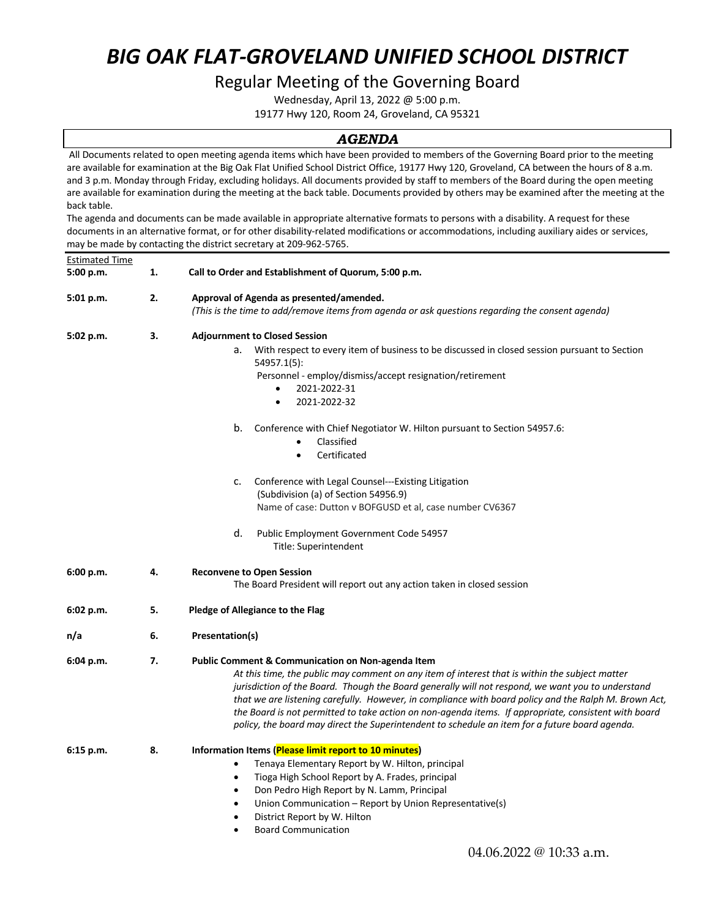# *BIG OAK FLAT-GROVELAND UNIFIED SCHOOL DISTRICT*

#### Regular Meeting of the Governing Board

Wednesday, April 13, 2022 @ 5:00 p.m.

19177 Hwy 120, Room 24, Groveland, CA 95321

#### *AGENDA*

All Documents related to open meeting agenda items which have been provided to members of the Governing Board prior to the meeting are available for examination at the Big Oak Flat Unified School District Office, 19177 Hwy 120, Groveland, CA between the hours of 8 a.m. and 3 p.m. Monday through Friday, excluding holidays. All documents provided by staff to members of the Board during the open meeting are available for examination during the meeting at the back table. Documents provided by others may be examined after the meeting at the back table.

The agenda and documents can be made available in appropriate alternative formats to persons with a disability. A request for these documents in an alternative format, or for other disability-related modifications or accommodations, including auxiliary aides or services, may be made by contacting the district secretary at 209-962-5765.

| <b>Estimated Time</b> |    |                                                                                                                                                                                                                                                                                                                                                                                                                                                                                                                                                                                        |  |  |  |
|-----------------------|----|----------------------------------------------------------------------------------------------------------------------------------------------------------------------------------------------------------------------------------------------------------------------------------------------------------------------------------------------------------------------------------------------------------------------------------------------------------------------------------------------------------------------------------------------------------------------------------------|--|--|--|
| 5:00 p.m.             | 1. | Call to Order and Establishment of Quorum, 5:00 p.m.                                                                                                                                                                                                                                                                                                                                                                                                                                                                                                                                   |  |  |  |
| 5:01 p.m.             | 2. | Approval of Agenda as presented/amended.<br>(This is the time to add/remove items from agenda or ask questions regarding the consent agenda)                                                                                                                                                                                                                                                                                                                                                                                                                                           |  |  |  |
| 5:02 p.m.             | З. | <b>Adjournment to Closed Session</b>                                                                                                                                                                                                                                                                                                                                                                                                                                                                                                                                                   |  |  |  |
|                       |    | a. With respect to every item of business to be discussed in closed session pursuant to Section<br>54957.1(5):<br>Personnel - employ/dismiss/accept resignation/retirement<br>2021-2022-31<br>2021-2022-32<br>$\bullet$                                                                                                                                                                                                                                                                                                                                                                |  |  |  |
|                       |    | b.<br>Conference with Chief Negotiator W. Hilton pursuant to Section 54957.6:<br>Classified<br>$\bullet$<br>Certificated<br>$\bullet$                                                                                                                                                                                                                                                                                                                                                                                                                                                  |  |  |  |
|                       |    | Conference with Legal Counsel---Existing Litigation<br>c.<br>(Subdivision (a) of Section 54956.9)<br>Name of case: Dutton v BOFGUSD et al, case number CV6367                                                                                                                                                                                                                                                                                                                                                                                                                          |  |  |  |
|                       |    | d.<br>Public Employment Government Code 54957<br>Title: Superintendent                                                                                                                                                                                                                                                                                                                                                                                                                                                                                                                 |  |  |  |
| 6:00 p.m.             | 4. | <b>Reconvene to Open Session</b><br>The Board President will report out any action taken in closed session                                                                                                                                                                                                                                                                                                                                                                                                                                                                             |  |  |  |
| 6:02 p.m.             | 5. | Pledge of Allegiance to the Flag                                                                                                                                                                                                                                                                                                                                                                                                                                                                                                                                                       |  |  |  |
| n/a                   | 6. | Presentation(s)                                                                                                                                                                                                                                                                                                                                                                                                                                                                                                                                                                        |  |  |  |
| 6:04 p.m.             | 7. | <b>Public Comment &amp; Communication on Non-agenda Item</b><br>At this time, the public may comment on any item of interest that is within the subject matter<br>jurisdiction of the Board. Though the Board generally will not respond, we want you to understand<br>that we are listening carefully. However, in compliance with board policy and the Ralph M. Brown Act,<br>the Board is not permitted to take action on non-agenda items. If appropriate, consistent with board<br>policy, the board may direct the Superintendent to schedule an item for a future board agenda. |  |  |  |
| $6:15$ p.m.           | 8. | Information Items (Please limit report to 10 minutes)<br>Tenaya Elementary Report by W. Hilton, principal<br>$\bullet$<br>Tioga High School Report by A. Frades, principal<br>$\bullet$<br>Don Pedro High Report by N. Lamm, Principal<br>$\bullet$<br>Union Communication - Report by Union Representative(s)<br>$\bullet$<br>District Report by W. Hilton<br>$\bullet$<br><b>Board Communication</b><br>$\bullet$                                                                                                                                                                    |  |  |  |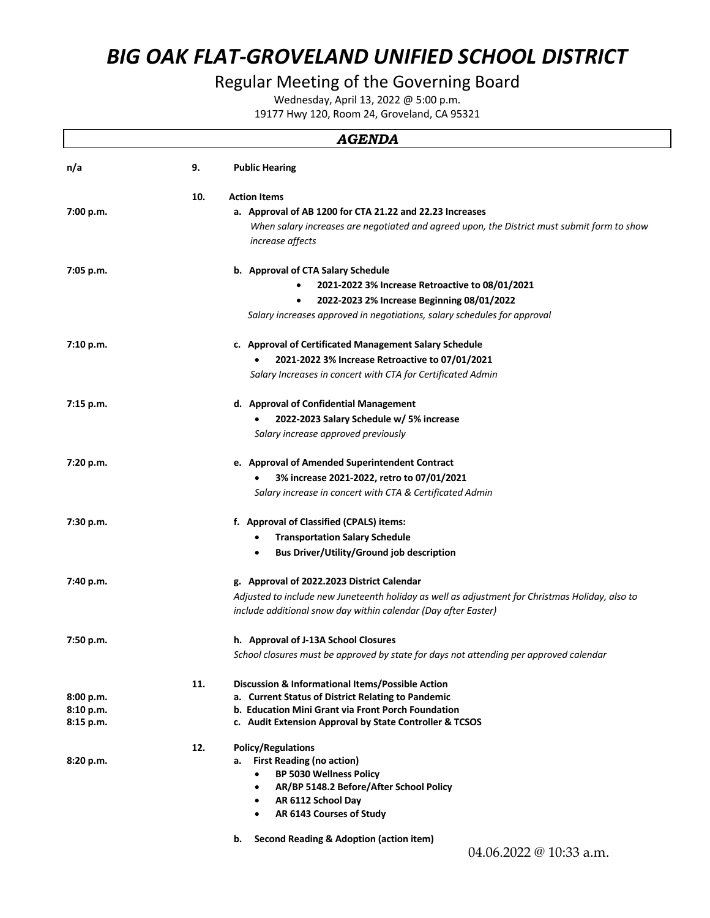# *BIG OAK FLAT-GROVELAND UNIFIED SCHOOL DISTRICT*

### Regular Meeting of the Governing Board

Wednesday, April 13, 2022 @ 5:00 p.m.

19177 Hwy 120, Room 24, Groveland, CA 95321

|                        |     | <b>AGENDA</b>                                                                                                          |
|------------------------|-----|------------------------------------------------------------------------------------------------------------------------|
| n/a                    | 9.  | <b>Public Hearing</b>                                                                                                  |
|                        | 10. | <b>Action Items</b>                                                                                                    |
| 7:00 p.m.              |     | a. Approval of AB 1200 for CTA 21.22 and 22.23 Increases                                                               |
|                        |     | When salary increases are negotiated and agreed upon, the District must submit form to show<br><i>increase affects</i> |
| 7:05 p.m.              |     | b. Approval of CTA Salary Schedule                                                                                     |
|                        |     | 2021-2022 3% Increase Retroactive to 08/01/2021<br>$\bullet$                                                           |
|                        |     | 2022-2023 2% Increase Beginning 08/01/2022                                                                             |
|                        |     | Salary increases approved in negotiations, salary schedules for approval                                               |
| 7:10 p.m.              |     | c. Approval of Certificated Management Salary Schedule                                                                 |
|                        |     | 2021-2022 3% Increase Retroactive to 07/01/2021                                                                        |
|                        |     | Salary Increases in concert with CTA for Certificated Admin                                                            |
| 7:15 p.m.              |     | d. Approval of Confidential Management                                                                                 |
|                        |     | 2022-2023 Salary Schedule w/ 5% increase                                                                               |
|                        |     | Salary increase approved previously                                                                                    |
| 7:20 p.m.              |     | e. Approval of Amended Superintendent Contract                                                                         |
|                        |     | 3% increase 2021-2022, retro to 07/01/2021                                                                             |
|                        |     | Salary increase in concert with CTA & Certificated Admin                                                               |
| 7:30 p.m.              |     | f. Approval of Classified (CPALS) items:                                                                               |
|                        |     | <b>Transportation Salary Schedule</b><br>٠                                                                             |
|                        |     | <b>Bus Driver/Utility/Ground job description</b><br>٠                                                                  |
| 7:40 p.m.              |     | g. Approval of 2022.2023 District Calendar                                                                             |
|                        |     | Adjusted to include new Juneteenth holiday as well as adjustment for Christmas Holiday, also to                        |
|                        |     | include additional snow day within calendar (Day after Easter)                                                         |
| 7:50 p.m.              |     | h. Approval of J-13A School Closures                                                                                   |
|                        |     | School closures must be approved by state for days not attending per approved calendar                                 |
|                        | 11. | Discussion & Informational Items/Possible Action                                                                       |
| 8:00 p.m.<br>8:10 p.m. |     | a. Current Status of District Relating to Pandemic<br>b. Education Mini Grant via Front Porch Foundation               |
| 8:15 p.m.              |     | c. Audit Extension Approval by State Controller & TCSOS                                                                |
|                        |     |                                                                                                                        |
| 8:20 p.m.              | 12. | <b>Policy/Regulations</b><br><b>First Reading (no action)</b><br>а.                                                    |
|                        |     | <b>BP 5030 Wellness Policy</b><br>$\bullet$                                                                            |
|                        |     | AR/BP 5148.2 Before/After School Policy<br>$\bullet$                                                                   |
|                        |     | AR 6112 School Day<br>$\bullet$                                                                                        |
|                        |     | AR 6143 Courses of Study<br>$\bullet$                                                                                  |
|                        |     | Second Reading & Adoption (action item)<br>b.                                                                          |
|                        |     | 04.06.2022 @ 10:33 a.m.                                                                                                |